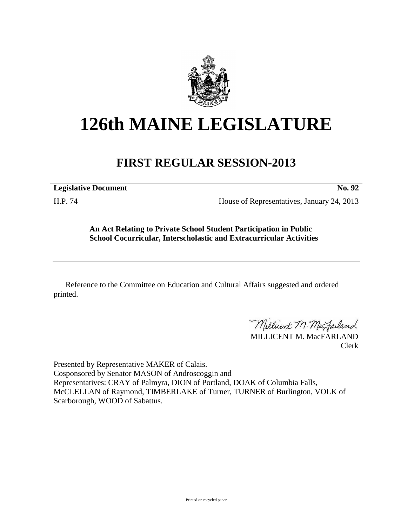

## **126th MAINE LEGISLATURE**

## **FIRST REGULAR SESSION-2013**

**Legislative Document No. 92** 

H.P. 74 House of Representatives, January 24, 2013

**An Act Relating to Private School Student Participation in Public School Cocurricular, Interscholastic and Extracurricular Activities**

Reference to the Committee on Education and Cultural Affairs suggested and ordered printed.

Millicent M. Mac Failand

MILLICENT M. MacFARLAND Clerk

Presented by Representative MAKER of Calais. Cosponsored by Senator MASON of Androscoggin and Representatives: CRAY of Palmyra, DION of Portland, DOAK of Columbia Falls, McCLELLAN of Raymond, TIMBERLAKE of Turner, TURNER of Burlington, VOLK of Scarborough, WOOD of Sabattus.